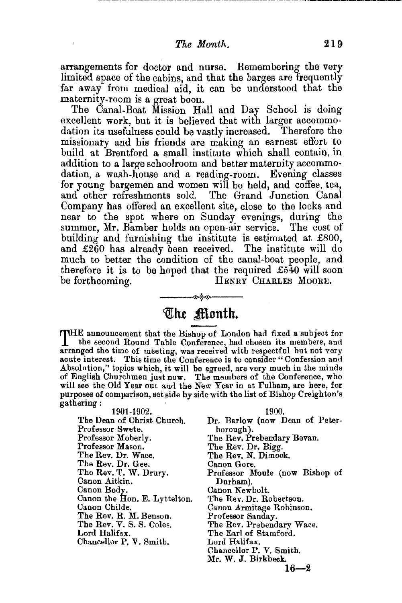arrangements for doctor and nurse. Remembering the very limited space of the cabins, and that the barges are frequently far away from medical aid, it can be understood that the maternity-room is a great boon.

The Canal-Boat Mission Hall and Day School is doing excellent work, but it is believed that with larger accommodation its usefulness could be vastly increased. Therefore the missionary and his friends are making an earnest effort to build at Brentford a small institute which shall contain, in addition to a large schoolroom and better maternity accommodation, a wash-house and a reading-room. Evening classes for young bargemen and women will be held, and coffee, tea, and other refreshments sold. The Grand Junction Canal Company has offered an excellent site, close to the locks and near to the spot where on Sunday evenings, during the summer, Mr. Bamber holds an open-air service. The cost of building and furnishing the institute is estimated at £800, and £260 has already been received. The institute will do much to better the condition of the canal-boat people, and therefore it is to be hoped that the required  $£540$  will soon be forthcoming. HENRY CHARLES MOORE. HENRY CHARLES MOORE.

## --·~ **tQJ:ht** ~onth.

THE announcement that the Bishop of London had fixed a subject for the second Round Table Conference, had chosen its members, and the second Round Table Conference, had chosen its members, and arranged the time of meeting, was received with respectful hut not very acute interest. This time the Conference is to consider " Confession and Absolution," topics which, it will be agreed, are very much in the minds of English Churchmen just now. The members of the Conference, who will see the Old Year out and the New Year in at Fulham, are here, for purposes of comparison, set side by side with the list of Bishop Creighton's gathering:

1901-1902. The Dean of Christ Church. Professor Swete. Professor Moberly. Professor Mason. The Rev. Dr. Wace. The Rev. Dr. Gee. The Rev. T. W. Drury. Canon Aitkin. Canon Body. Canon the Hon. E. Lyttelton. Canon Childe. The Rev. R. M. Benson. The Rev. V. 8. S. Coles. Lord Halifax. Chancellor P. V. Smith.

1900. Dr. Barlow (now Dean of Peterborough). The Rev. Prebendary Bevan. The Rev. Dr. Bigg. The Rev. N. Dimock. Canon Gore. Professor Moule (now Bishop of Durham). Canon Newbolt. The Rev. Dr. Robertson. Canon Armitage Robinson. Professor Sanday. The Rev. Prebendary Wace. The Earl of Stamford. Lord Halifax. Chancellor P. V. Smith. Mr. W. J. Birkbeck.

 $16 - 2$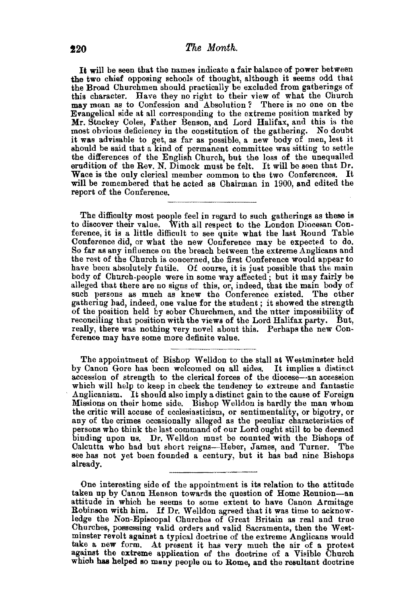It will be seen that the names indicate a fair balance of power between the two chief opposing schools of thought, although it seems odd that the Broad Churchmen should practically be excluded from gatherings of this character. Have they no right to their view of what the Church may mean as to Confession and Absolution? There is no one on the Evangelical side at all corresponding to the extreme position marked by Mr. Stuckey Coles, Father Benson, and J.ord Halifax, and this is the most obvious deficiency in the constitution of the gathering. No doubt it was advisable to get, as far as possible, a new body of men, lest it should be said that a kind of permanent committee was sitting to settle the differences of the English Church, but the loss of the unequalled erudition of the Rev. N. Dimock must be felt. It will be seen that Dr. Wace is the only clerical member common to the two Conferences. It will be remembered that he acted as Chairman in 1900, and edited the report of the Conference,

The difficulty most people feel in regard to such gatherings as these is to discover their value. With all respect to the London Diocesan Conference, it is a little difficult to see quite what the last Round Table Conference did, or what the new Conference may be expected to do. So far as any influence on the breach between the extreme Anglicans and the rest of the Church is concerned, the first Conference would appear to have been absolutely futile. Of course, it is just possible that the main body of Church. people were in some way affected; but it may fairly be alleged that there are no signs of this, or, indeed, that the main body of such persons as much as knew the Conference existed. The other gathering had, indeed, one value for the student ; it showed the strength of the position held by sober Churchmen, and the utter impossibility of reconciling that position with the views of the Lord Halifax party. But, really, there was nothing very novel about this. Perhaps the new Conference may have some more definite value.

The appointment of Bishop Welldon to the stall at Westminster held by Canon Gore has been welcomed on all sides. It implies a distinct accession of strength to the clerical forces of the diocese-an accession which will help to keep in check the tendency to extreme and fantastic Anglicanism. It should also imply a distinct gain to the cause of Foreign Missions on their home side. Bishop Welldon is hardly the man whom the critic will accuse of ecclesiasticism, or sentimentality, or bigotry, or any of the crimes occasionally alleged as the peculiar characteristics of persons who think the last command of our Lord ought still to be deemed binding upon us. Dr. Welldon must be counted with the Bishops of Calcutta who had but short reigns-Heber, James, and Turner. The see has not yet been founded a century, but it has bad nine Bishops see has not yet been founded a century, but it has bad nine Bishops already.

One interesting side of the appointment is its relation to the attitude taken up by Canon Henson towards the question of Home Reunion-an attitude in which he seems to some extent to have Canon Armitage Robinson with him. If Dr. Welldon agreed that it was time to acknowledge the Non-Episcopal Churches of Great Britain as real and true Churches, possessing valid orders and valid Sacraments, then the Westminster revolt against a typical doctrine of the extreme Anglicans would take a new form. At present it has very much the air of a protest against the extreme application of the doctrine of a Visible Church whieh has helped so many people on to Rome, and the resultant doctrine